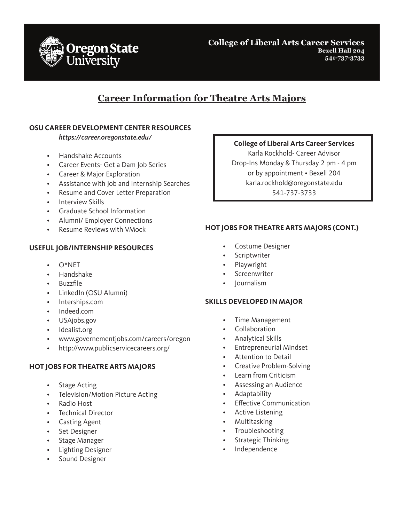

**College of Liberal Arts Career Services Bexell Hall 204 541-737-3733**

# **Career Information for Theatre Arts Majors**

## **OSU CAREER DEVELOPMENT CENTER RESOURCES**

*https://career.oregonstate.edu/*

- Handshake Accounts
- Career Events- Get a Dam Job Series
- Career & Major Exploration
- Assistance with Job and Internship Searches
- Resume and Cover Letter Preparation
- Interview Skills
- Graduate School Information
- Alumni/ Employer Connections
- Resume Reviews with VMock

### **USEFUL JOB/INTERNSHIP RESOURCES**

- $O^*NFT$
- Handshake
- Buzzfile
- LinkedIn (OSU Alumni)
- Interships.com
- Indeed.com
- USAjobs.gov
- Idealist.org
- www.governementjobs.com/careers/oregon
- http://www.publicservicecareers.org/

### **HOT JOBS FOR THEATRE ARTS MAJORS**

- Stage Acting
- Television/Motion Picture Acting
- Radio Host
- Technical Director
- Casting Agent
- Set Designer
- Stage Manager
- Lighting Designer
- Sound Designer

## **College of Liberal Arts Career Services**

Karla Rockhold- Career Advisor Drop-Ins Monday & Thursday 2 pm - 4 pm or by appointment • Bexell 204 karla.rockhold@oregonstate.edu 541-737-3733

## **HOT JOBS FOR THEATRE ARTS MAJORS (CONT.)**

- Costume Designer
- **Scriptwriter**
- **Playwright**
- **Screenwriter**
- Journalism

#### **SKILLS DEVELOPED IN MAJOR**

- Time Management
- Collaboration
- Analytical Skills
- Entrepreneurial Mindset
- Attention to Detail
- Creative Problem-Solving
- Learn from Criticism
- Assessing an Audience
- Adaptability
- **Effective Communication**
- Active Listening
- Multitasking
- **Troubleshooting**
- Strategic Thinking
- Independence